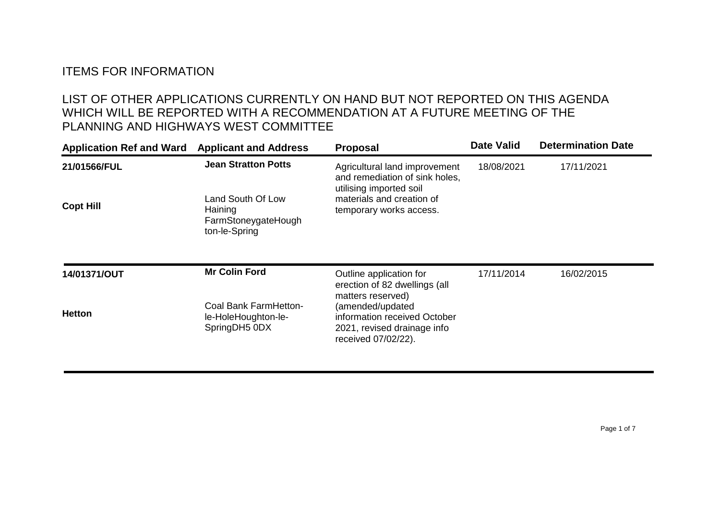## ITEMS FOR INFORMATION

## LIST OF OTHER APPLICATIONS CURRENTLY ON HAND BUT NOT REPORTED ON THIS AGENDA WHICH WILL BE REPORTED WITH A RECOMMENDATION AT A FUTURE MEETING OF THE PLANNING AND HIGHWAYS WEST COMMITTEE

| <b>Application Ref and Ward</b> | <b>Applicant and Address</b>                                         | <b>Proposal</b>                                                                                                             | <b>Date Valid</b> | <b>Determination Date</b> |
|---------------------------------|----------------------------------------------------------------------|-----------------------------------------------------------------------------------------------------------------------------|-------------------|---------------------------|
| 21/01566/FUL                    | <b>Jean Stratton Potts</b>                                           | Agricultural land improvement<br>and remediation of sink holes,<br>utilising imported soil                                  | 18/08/2021        | 17/11/2021                |
| <b>Copt Hill</b>                | Land South Of Low<br>Haining<br>FarmStoneygateHough<br>ton-le-Spring | materials and creation of<br>temporary works access.                                                                        |                   |                           |
| 14/01371/OUT                    | <b>Mr Colin Ford</b>                                                 | Outline application for<br>erection of 82 dwellings (all                                                                    | 17/11/2014        | 16/02/2015                |
| <b>Hetton</b>                   | Coal Bank FarmHetton-<br>le-HoleHoughton-le-<br>SpringDH5 0DX        | matters reserved)<br>(amended/updated<br>information received October<br>2021, revised drainage info<br>received 07/02/22). |                   |                           |
|                                 |                                                                      |                                                                                                                             |                   |                           |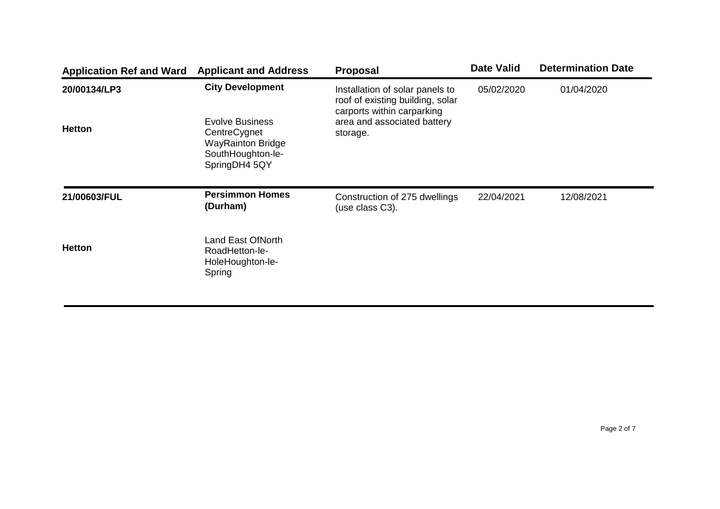| <b>Application Ref and Ward</b> | <b>Applicant and Address</b>                                                                                                        | <b>Proposal</b>                                                                                                                              | <b>Date Valid</b> | <b>Determination Date</b> |
|---------------------------------|-------------------------------------------------------------------------------------------------------------------------------------|----------------------------------------------------------------------------------------------------------------------------------------------|-------------------|---------------------------|
| 20/00134/LP3<br><b>Hetton</b>   | <b>City Development</b><br><b>Evolve Business</b><br>CentreCygnet<br><b>WayRainton Bridge</b><br>SouthHoughton-le-<br>SpringDH4 5QY | Installation of solar panels to<br>roof of existing building, solar<br>carports within carparking<br>area and associated battery<br>storage. | 05/02/2020        | 01/04/2020                |
| 21/00603/FUL                    | <b>Persimmon Homes</b><br>(Durham)                                                                                                  | Construction of 275 dwellings<br>(use class C3).                                                                                             | 22/04/2021        | 12/08/2021                |
| <b>Hetton</b>                   | <b>Land East OfNorth</b><br>RoadHetton-le-<br>HoleHoughton-le-<br>Spring                                                            |                                                                                                                                              |                   |                           |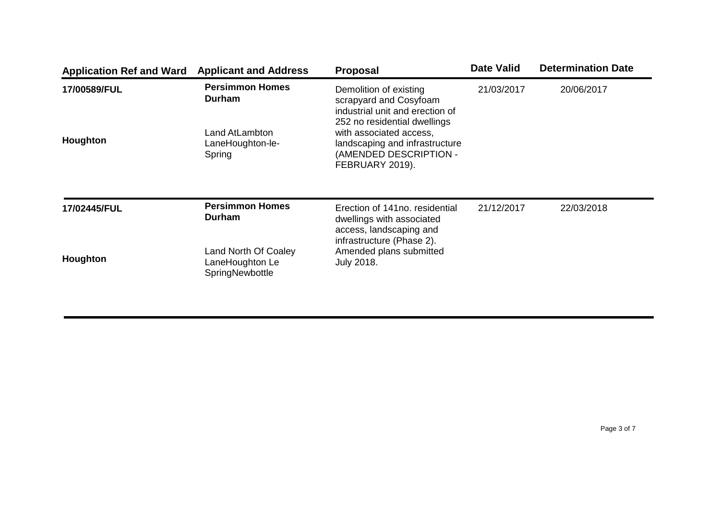| <b>Application Ref and Ward</b> | <b>Applicant and Address</b>                               | <b>Proposal</b>                                                                                                     | <b>Date Valid</b> | <b>Determination Date</b> |
|---------------------------------|------------------------------------------------------------|---------------------------------------------------------------------------------------------------------------------|-------------------|---------------------------|
| 17/00589/FUL<br>Houghton        | <b>Persimmon Homes</b><br>Durham                           | Demolition of existing<br>scrapyard and Cosyfoam<br>industrial unit and erection of<br>252 no residential dwellings | 21/03/2017        | 20/06/2017                |
|                                 | Land AtLambton<br>LaneHoughton-le-<br>Spring               | with associated access,<br>landscaping and infrastructure<br>(AMENDED DESCRIPTION -<br>FEBRUARY 2019).              |                   |                           |
| 17/02445/FUL                    | <b>Persimmon Homes</b><br>Durham                           | Erection of 141no. residential<br>dwellings with associated<br>access, landscaping and<br>infrastructure (Phase 2). | 21/12/2017        | 22/03/2018                |
| <b>Houghton</b>                 | Land North Of Coaley<br>LaneHoughton Le<br>SpringNewbottle | Amended plans submitted<br><b>July 2018.</b>                                                                        |                   |                           |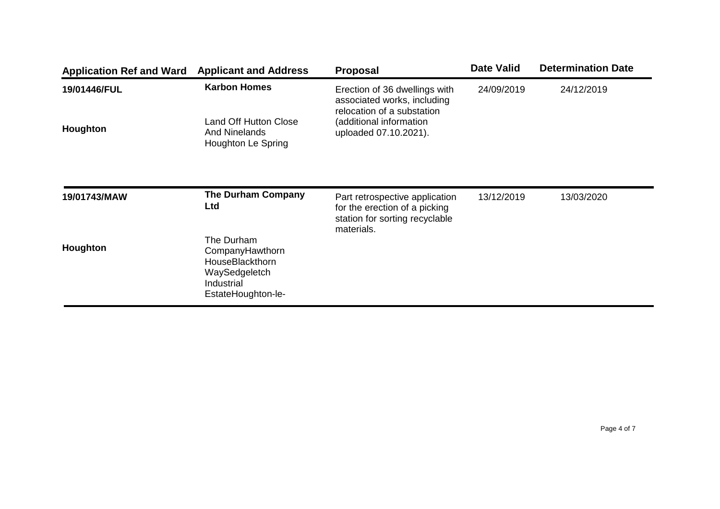| <b>Application Ref and Ward</b> | <b>Applicant and Address</b>                                                                          | <b>Proposal</b>                                                                                   | <b>Date Valid</b> | <b>Determination Date</b> |
|---------------------------------|-------------------------------------------------------------------------------------------------------|---------------------------------------------------------------------------------------------------|-------------------|---------------------------|
| 19/01446/FUL                    | <b>Karbon Homes</b>                                                                                   | Erection of 36 dwellings with<br>associated works, including<br>relocation of a substation        | 24/09/2019        | 24/12/2019                |
| Houghton                        | <b>Land Off Hutton Close</b><br><b>And Ninelands</b><br>Houghton Le Spring                            | (additional information<br>uploaded 07.10.2021).                                                  |                   |                           |
| 19/01743/MAW                    | <b>The Durham Company</b><br>Ltd                                                                      | Part retrospective application<br>for the erection of a picking<br>station for sorting recyclable | 13/12/2019        | 13/03/2020                |
| Houghton                        | The Durham<br>CompanyHawthorn<br>HouseBlackthorn<br>WaySedgeletch<br>Industrial<br>EstateHoughton-le- | materials.                                                                                        |                   |                           |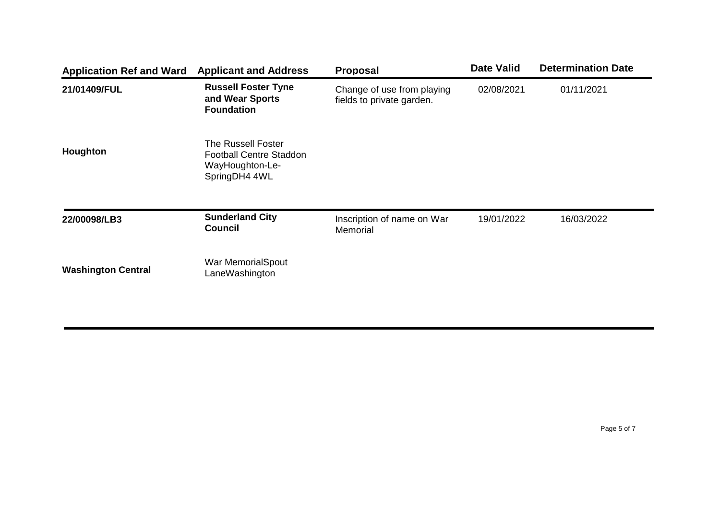| <b>Application Ref and Ward</b> | <b>Applicant and Address</b>                                                             | <b>Proposal</b>                                         | <b>Date Valid</b> | <b>Determination Date</b> |
|---------------------------------|------------------------------------------------------------------------------------------|---------------------------------------------------------|-------------------|---------------------------|
| 21/01409/FUL                    | <b>Russell Foster Tyne</b><br>and Wear Sports<br><b>Foundation</b>                       | Change of use from playing<br>fields to private garden. | 02/08/2021        | 01/11/2021                |
| Houghton                        | The Russell Foster<br><b>Football Centre Staddon</b><br>WayHoughton-Le-<br>SpringDH4 4WL |                                                         |                   |                           |
| 22/00098/LB3                    | <b>Sunderland City</b><br><b>Council</b>                                                 | Inscription of name on War<br>Memorial                  | 19/01/2022        | 16/03/2022                |
| <b>Washington Central</b>       | War MemorialSpout<br>LaneWashington                                                      |                                                         |                   |                           |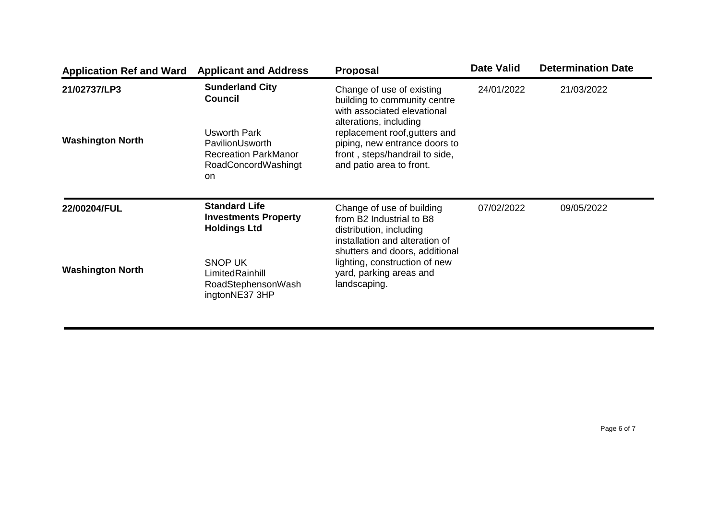| <b>Application Ref and Ward</b> | <b>Applicant and Address</b>                                                                       | <b>Proposal</b>                                                                                                              | <b>Date Valid</b> | <b>Determination Date</b> |
|---------------------------------|----------------------------------------------------------------------------------------------------|------------------------------------------------------------------------------------------------------------------------------|-------------------|---------------------------|
| 21/02737/LP3                    | <b>Sunderland City</b><br><b>Council</b>                                                           | Change of use of existing<br>building to community centre<br>with associated elevational<br>alterations, including           | 24/01/2022        | 21/03/2022                |
| <b>Washington North</b>         | <b>Usworth Park</b><br>PavilionUsworth<br><b>Recreation ParkManor</b><br>RoadConcordWashingt<br>on | replacement roof, gutters and<br>piping, new entrance doors to<br>front, steps/handrail to side,<br>and patio area to front. |                   |                           |
| 22/00204/FUL                    | <b>Standard Life</b><br><b>Investments Property</b><br><b>Holdings Ltd</b>                         | Change of use of building<br>from B2 Industrial to B8<br>distribution, including<br>installation and alteration of           | 07/02/2022        | 09/05/2022                |
| <b>Washington North</b>         | <b>SNOP UK</b><br>LimitedRainhill<br>RoadStephensonWash<br>ingtonNE37 3HP                          | shutters and doors, additional<br>lighting, construction of new<br>yard, parking areas and<br>landscaping.                   |                   |                           |